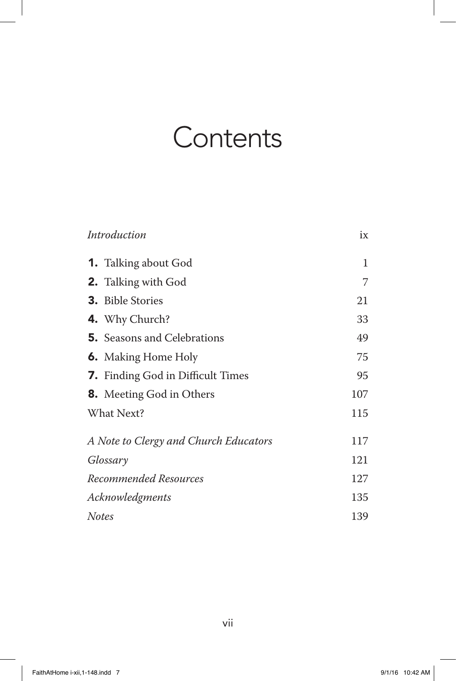# **Contents**

| <i>Introduction</i>                   |                                          | ix  |
|---------------------------------------|------------------------------------------|-----|
|                                       | <b>1.</b> Talking about God              | 1   |
|                                       | <b>2.</b> Talking with God               | 7   |
|                                       | <b>3.</b> Bible Stories                  | 21  |
|                                       | 4. Why Church?                           | 33  |
|                                       | <b>5.</b> Seasons and Celebrations       | 49  |
|                                       | <b>6.</b> Making Home Holy               | 75  |
|                                       | <b>7.</b> Finding God in Difficult Times | 95  |
|                                       | <b>8.</b> Meeting God in Others          | 107 |
| What Next?                            |                                          | 115 |
| A Note to Clergy and Church Educators |                                          | 117 |
| Glossary                              |                                          | 121 |
| Recommended Resources                 |                                          | 127 |
| Acknowledgments                       |                                          | 135 |
| <b>Notes</b>                          |                                          | 139 |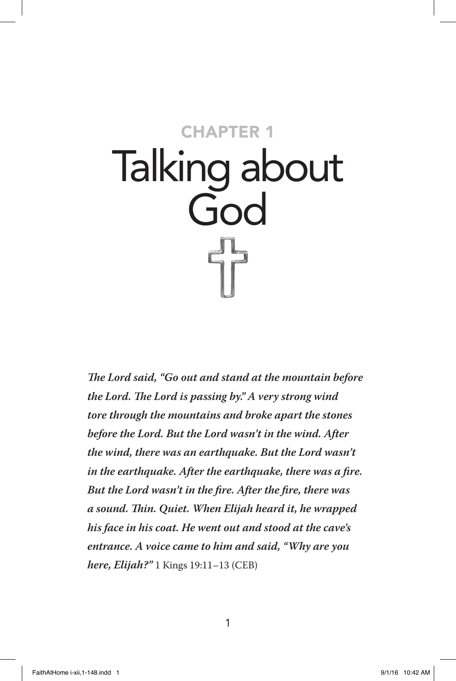# **CHAPTER 1** Talking about God

*The Lord said, "Go out and stand at the mountain before the Lord. The Lord is passing by." A very strong wind tore through the mountains and broke apart the stones before the Lord. But the Lord wasn't in the wind. After the wind, there was an earthquake. But the Lord wasn't in the earthquake. After the earthquake, there was a fire. But the Lord wasn't in the fire. After the fire, there was a sound. Thin. Quiet. When Elijah heard it, he wrapped his face in his coat. He went out and stood at the cave's entrance. A voice came to him and said, "Why are you here, Elijah?"* 1 Kings 19:11–13 (CEB)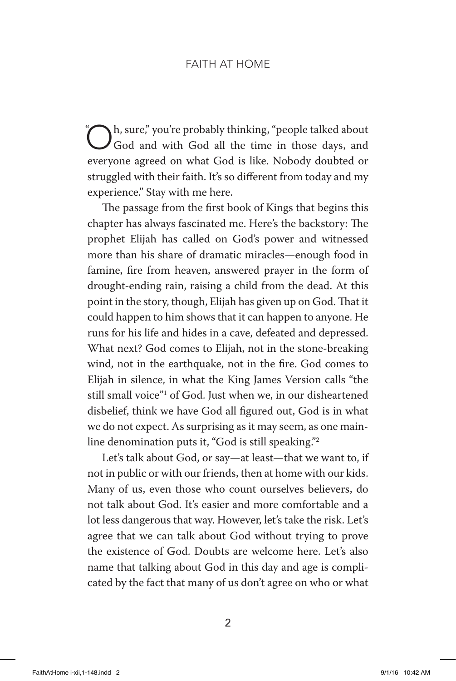"Oh, sure," you're probably thinking, "people talked about God and with God all the time in those days, and everyone agreed on what God is like. Nobody doubted or struggled with their faith. It's so different from today and my experience." Stay with me here. "

The passage from the first book of Kings that begins this chapter has always fascinated me. Here's the backstory: The prophet Elijah has called on God's power and witnessed more than his share of dramatic miracles—enough food in famine, fire from heaven, answered prayer in the form of drought-ending rain, raising a child from the dead. At this point in the story, though, Elijah has given up on God. That it could happen to him shows that it can happen to anyone. He runs for his life and hides in a cave, defeated and depressed. What next? God comes to Elijah, not in the stone-breaking wind, not in the earthquake, not in the fire. God comes to Elijah in silence, in what the King James Version calls "the still small voice"<sup>1</sup> of God. Just when we, in our disheartened disbelief, think we have God all figured out, God is in what we do not expect. As surprising as it may seem, as one mainline denomination puts it, "God is still speaking."2

Let's talk about God, or say—at least—that we want to, if not in public or with our friends, then at home with our kids. Many of us, even those who count ourselves believers, do not talk about God. It's easier and more comfortable and a lot less dangerous that way. However, let's take the risk. Let's agree that we can talk about God without trying to prove the existence of God. Doubts are welcome here. Let's also name that talking about God in this day and age is complicated by the fact that many of us don't agree on who or what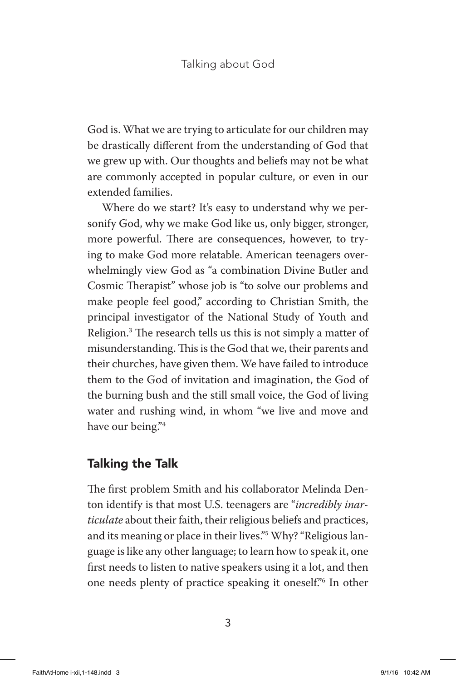God is. What we are trying to articulate for our children may be drastically different from the understanding of God that we grew up with. Our thoughts and beliefs may not be what are commonly accepted in popular culture, or even in our extended families.

Where do we start? It's easy to understand why we personify God, why we make God like us, only bigger, stronger, more powerful. There are consequences, however, to trying to make God more relatable. American teenagers overwhelmingly view God as "a combination Divine Butler and Cosmic Therapist" whose job is "to solve our problems and make people feel good," according to Christian Smith, the principal investigator of the National Study of Youth and Religion.3 The research tells us this is not simply a matter of misunderstanding. This is the God that we, their parents and their churches, have given them. We have failed to introduce them to the God of invitation and imagination, the God of the burning bush and the still small voice, the God of living water and rushing wind, in whom "we live and move and have our being."4

## Talking the Talk

The first problem Smith and his collaborator Melinda Denton identify is that most U.S. teenagers are "*incredibly inarticulate* about their faith, their religious beliefs and practices, and its meaning or place in their lives."5 Why? "Religious language is like any other language; to learn how to speak it, one first needs to listen to native speakers using it a lot, and then one needs plenty of practice speaking it oneself."6 In other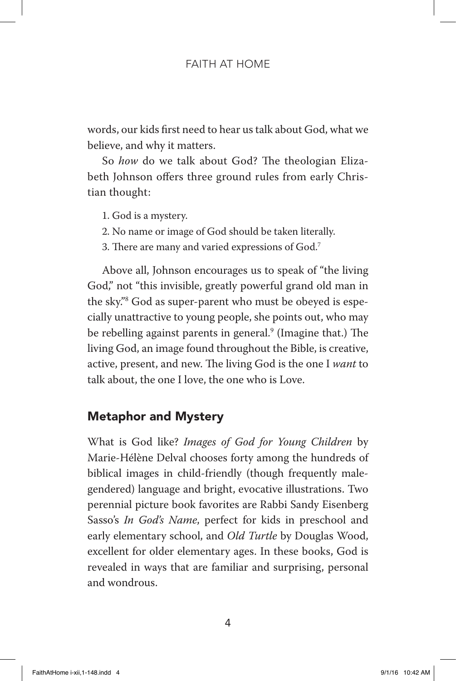#### faith at home

words, our kids first need to hear us talk about God, what we believe, and why it matters.

So *how* do we talk about God? The theologian Elizabeth Johnson offers three ground rules from early Christian thought:

- 1. God is a mystery.
- 2. No name or image of God should be taken literally.
- 3. There are many and varied expressions of God.7

Above all, Johnson encourages us to speak of "the living God," not "this invisible, greatly powerful grand old man in the sky."8 God as super-parent who must be obeyed is especially unattractive to young people, she points out, who may be rebelling against parents in general.9 (Imagine that.) The living God, an image found throughout the Bible, is creative, active, present, and new. The living God is the one I *want* to talk about, the one I love, the one who is Love.

### Metaphor and Mystery

What is God like? *Images of God for Young Children* by Marie-Hélène Delval chooses forty among the hundreds of biblical images in child-friendly (though frequently malegendered) language and bright, evocative illustrations. Two perennial picture book favorites are Rabbi Sandy Eisenberg Sasso's *In God's Name*, perfect for kids in preschool and early elementary school, and *Old Turtle* by Douglas Wood, excellent for older elementary ages. In these books, God is revealed in ways that are familiar and surprising, personal and wondrous.